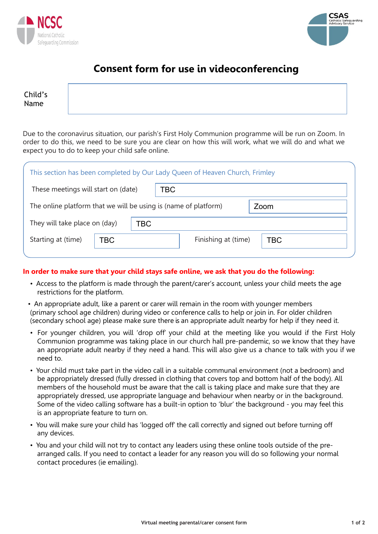



# **Consent form for use in videoconferencing**

Child's Name

Due to the coronavirus situation, our parish's First Holy Communion programme will be run on Zoom. In order to do this, we need to be sure you are clear on how this will work, what we will do and what we expect you to do to keep your child safe online.

| This section has been completed by Our Lady Queen of Heaven Church, Frimley |     |                                   |  |  |  |  |  |
|-----------------------------------------------------------------------------|-----|-----------------------------------|--|--|--|--|--|
| These meetings will start on (date)                                         |     | TBC                               |  |  |  |  |  |
| The online platform that we will be using is (name of platform)<br>Zoom     |     |                                   |  |  |  |  |  |
| They will take place on (day)<br>TBC                                        |     |                                   |  |  |  |  |  |
| Starting at (time)                                                          | TBC | Finishing at (time)<br><b>TBC</b> |  |  |  |  |  |
|                                                                             |     |                                   |  |  |  |  |  |

### **In order to make sure that your child stays safe online, we ask that you do the following:**

- Access to the platform is made through the parent/carer's account, unless your child meets the age restrictions for the platform.
- An appropriate adult, like a parent or carer will remain in the room with younger members (primary school age children) during video or conference calls to help or join in. For older children (secondary school age) please make sure there is an appropriate adult nearby for help if they need it.
- For younger children, you will 'drop off' your child at the meeting like you would if the First Holy Communion programme was taking place in our church hall pre-pandemic, so we know that they have an appropriate adult nearby if they need a hand. This will also give us a chance to talk with you if we need to.
- Your child must take part in the video call in a suitable communal environment (not a bedroom) and be appropriately dressed (fully dressed in clothing that covers top and bottom half of the body). All members of the household must be aware that the call is taking place and make sure that they are appropriately dressed, use appropriate language and behaviour when nearby or in the background. Some of the video calling software has a built-in option to 'blur' the background - you may feel this is an appropriate feature to turn on.
- You will make sure your child has 'logged off' the call correctly and signed out before turning off any devices.
- You and your child will not try to contact any leaders using these online tools outside of the prearranged calls. If you need to contact a leader for any reason you will do so following your normal contact procedures (ie emailing).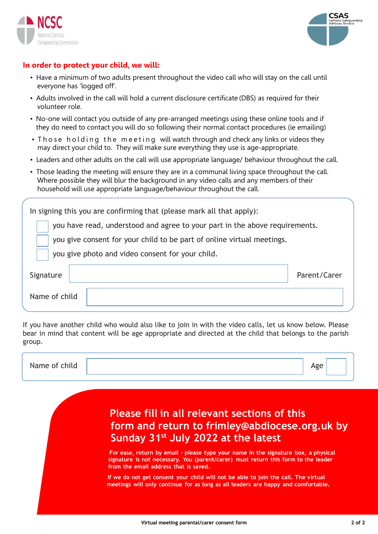



### **In order to protect your child, we will:**

- Have a minimum of two adults present throughout the video call who will stay on the call until everyone has 'logged off'.
- Adults involved in the call will hold a current disclosure certificate (DBS) as required for their volunteer role.
- No-one will contact you outside of any pre-arranged meetings using these online tools and if they do need to contact you will do so following their normal contact procedures (ie emailing)
- Those holding the meeting will watch through and check any links or videos they may direct your child to. They will make sure everything they use is age-appropriate.
- Leaders and other adults on the call will use appropriate language/ behaviour throughout the call.
- Those leading the meeting will ensure they are in a communal living space throughout the call. Where possible they will blur the background in any video calls and any members of their household will use appropriate language/behaviour throughout the call.

| In signing this you are confirming that (please mark all that apply):       |              |  |  |  |  |
|-----------------------------------------------------------------------------|--------------|--|--|--|--|
| you have read, understood and agree to your part in the above requirements. |              |  |  |  |  |
| you give consent for your child to be part of online virtual meetings.      |              |  |  |  |  |
| you give photo and video consent for your child.                            |              |  |  |  |  |
| Signature                                                                   | Parent/Carer |  |  |  |  |
| Name of child                                                               |              |  |  |  |  |
|                                                                             |              |  |  |  |  |

If you have another child who would also like to join in with the video calls, let us know below. Please bear in mind that content will be age appropriate and directed at the child that belongs to the parish group.

| $\cdot$ .<br>יי<br>____ |  |  |  |
|-------------------------|--|--|--|
|                         |  |  |  |
|                         |  |  |  |

# **Please fill in all relevant sections of this form and return to frimley@abdiocese.org.uk by Sunday 31st July 2022 at the latest**

**For ease, return by email – please type your name in the signature box, a physical signature is not necessary. You (parent/carer) must return this form to the leader from the email address that is saved.**

**If we do not get consent your child will not be able to join the call. The virtual meetings will only continue for as long as all leaders are happy and comfortable.**